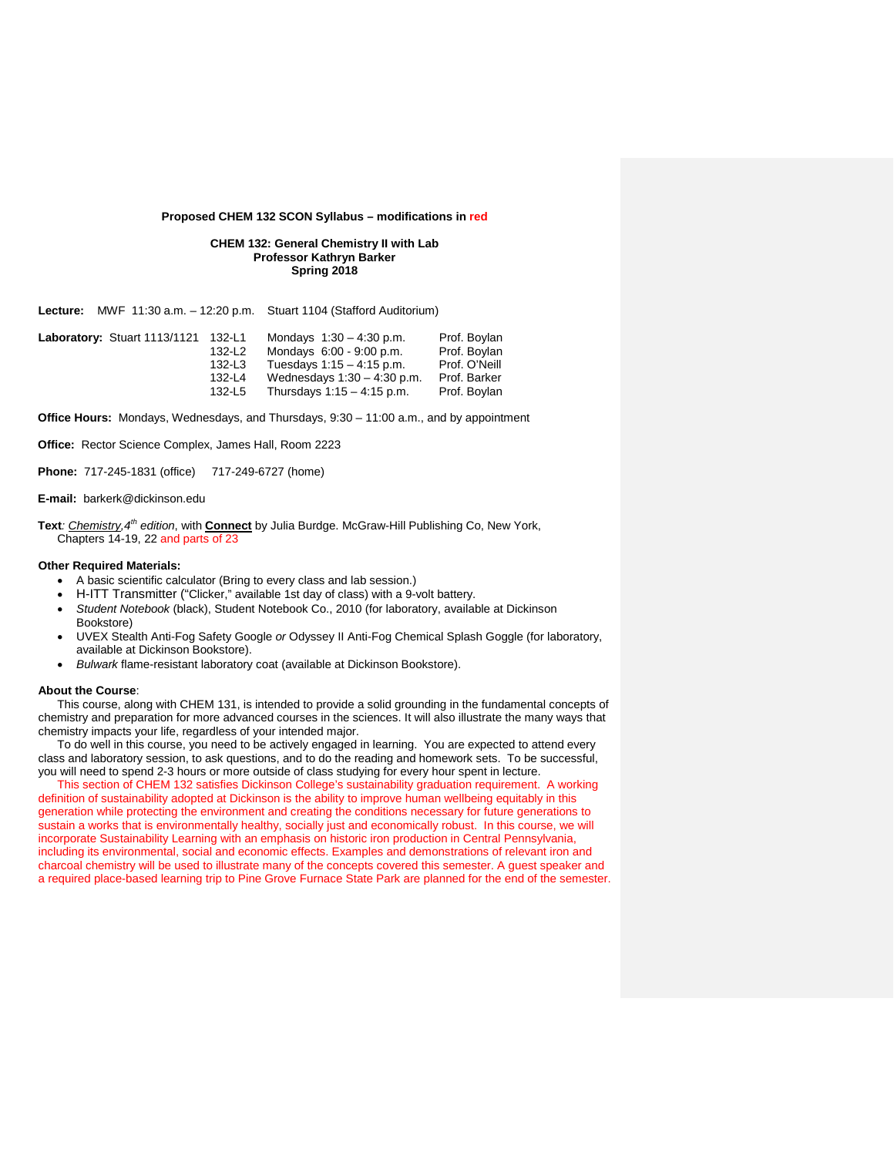# **Proposed CHEM 132 SCON Syllabus – modifications in red**

# **CHEM 132: General Chemistry II with Lab Professor Kathryn Barker Spring 2018**

**Lecture:** MWF 11:30 a.m. – 12:20 p.m. Stuart 1104 (Stafford Auditorium)

| Prof. Boylan  |
|---------------|
| Prof. Bovlan  |
| Prof. O'Neill |
| Prof. Barker  |
| Prof. Boylan  |
|               |

**Office Hours:** Mondays, Wednesdays, and Thursdays, 9:30 – 11:00 a.m., and by appointment

**Office:** Rector Science Complex, James Hall, Room 2223

**Phone:** 717-245-1831 (office) 717-249-6727 (home)

## **E-mail:** barkerk@dickinson.edu

**Text***: Chemistry,4th edition*, with **Connect** by Julia Burdge. McGraw-Hill Publishing Co, New York, Chapters 14-19, 22 and parts of 23

## **Other Required Materials:**

- A basic scientific calculator (Bring to every class and lab session.)
- H-ITT Transmitter ("Clicker," available 1st day of class) with a 9-volt battery.
- *Student Notebook* (black), Student Notebook Co., 2010 (for laboratory, available at Dickinson Bookstore)
- UVEX Stealth Anti-Fog Safety Google *or* Odyssey II Anti-Fog Chemical Splash Goggle (for laboratory, available at Dickinson Bookstore).
- *Bulwark* flame-resistant laboratory coat (available at Dickinson Bookstore).

## **About the Course**:

This course, along with CHEM 131, is intended to provide a solid grounding in the fundamental concepts of chemistry and preparation for more advanced courses in the sciences. It will also illustrate the many ways that chemistry impacts your life, regardless of your intended major.

To do well in this course, you need to be actively engaged in learning. You are expected to attend every class and laboratory session, to ask questions, and to do the reading and homework sets. To be successful, you will need to spend 2-3 hours or more outside of class studying for every hour spent in lecture.

 This section of CHEM 132 satisfies Dickinson College's sustainability graduation requirement. A working definition of sustainability adopted at Dickinson is the ability to improve human wellbeing equitably in this generation while protecting the environment and creating the conditions necessary for future generations to sustain a works that is environmentally healthy, socially just and economically robust. In this course, we will incorporate Sustainability Learning with an emphasis on historic iron production in Central Pennsylvania, including its environmental, social and economic effects. Examples and demonstrations of relevant iron and charcoal chemistry will be used to illustrate many of the concepts covered this semester. A guest speaker and a required place-based learning trip to Pine Grove Furnace State Park are planned for the end of the semester.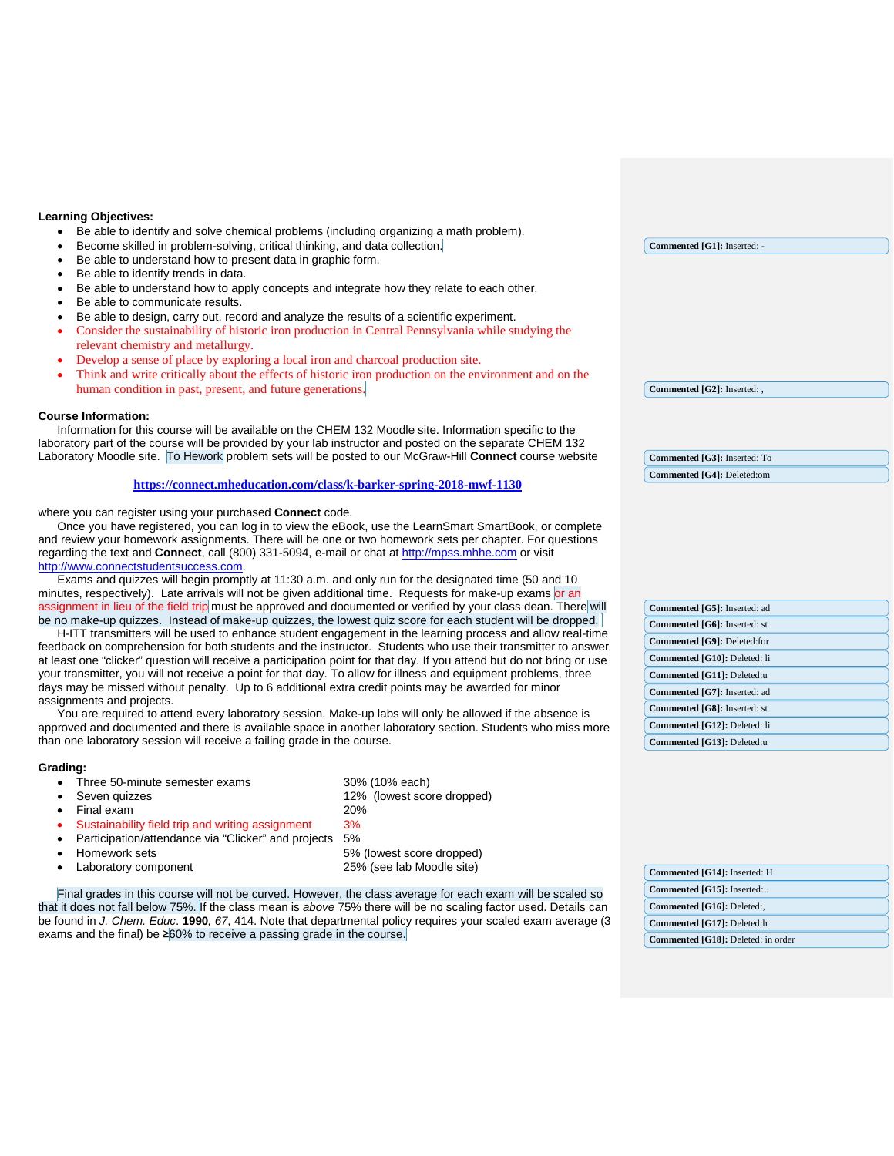# **Learning Objectives:**

- Be able to identify and solve chemical problems (including organizing a math problem).
- Become skilled in problem-solving, critical thinking, and data collection.
- Be able to understand how to present data in graphic form.
- Be able to identify trends in data.
- Be able to understand how to apply concepts and integrate how they relate to each other.
- Be able to communicate results.
- Be able to design, carry out, record and analyze the results of a scientific experiment.
- Consider the sustainability of historic iron production in Central Pennsylvania while studying the relevant chemistry and metallurgy.
- Develop a sense of place by exploring a local iron and charcoal production site.
- Think and write critically about the effects of historic iron production on the environment and on the human condition in past, present, and future generations.

## **Course Information:**

Information for this course will be available on the CHEM 132 Moodle site. Information specific to the laboratory part of the course will be provided by your lab instructor and posted on the separate CHEM 132 Laboratory Moodle site. To Hework problem sets will be posted to our McGraw-Hill **Connect** course website

## **<https://connect.mheducation.com/class/k-barker-spring-2018-mwf-1130>**

where you can register using your purchased **Connect** code.

Once you have registered, you can log in to view the eBook, use the LearnSmart SmartBook, or complete and review your homework assignments. There will be one or two homework sets per chapter. For questions regarding the text and **Connect**, call (800) 331-5094, e-mail or chat at [http://mpss.mhhe.com](http://mpss.mhhe.com/) or visit [http://www.connectstudentsuccess.com.](http://www.connectstudentsuccess.com/)

Exams and quizzes will begin promptly at 11:30 a.m. and only run for the designated time (50 and 10 minutes, respectively). Late arrivals will not be given additional time. Requests for make-up exams or an assignment in lieu of the field trip must be approved and documented or verified by your class dean. There will be no make-up quizzes. Instead of make-up quizzes, the lowest quiz score for each student will be dropped.

H-ITT transmitters will be used to enhance student engagement in the learning process and allow real-time feedback on comprehension for both students and the instructor. Students who use their transmitter to answer at least one "clicker" question will receive a participation point for that day. If you attend but do not bring or use your transmitter, you will not receive a point for that day. To allow for illness and equipment problems, three days may be missed without penalty. Up to 6 additional extra credit points may be awarded for minor assignments and projects.

You are required to attend every laboratory session. Make-up labs will only be allowed if the absence is approved and documented and there is available space in another laboratory section. Students who miss more than one laboratory session will receive a failing grade in the course.

#### **Grading:**

- Three 50-minute semester exams 30% (10% each)
- 
- Final exam
- Sustainability field trip and writing assignment 3%
- Participation/attendance via "Clicker" and projects 5%
- Homework sets 5% (lowest score dropped)
- Laboratory component 25% (see lab Moodle site)

• Seven quizzes 12% (lowest score dropped)

Final grades in this course will not be curved. However, the class average for each exam will be scaled so that it does not fall below 75%. If the class mean is *above* 75% there will be no scaling factor used. Details can be found in *J. Chem. Educ*. **1990***, 67*, 414. Note that departmental policy requires your scaled exam average (3 exams and the final) be ≥60% to receive a passing grade in the course.

**Commented [G1]:** Inserted: -

**Commented [G2]:** Inserted: ,

**Commented [G4]:** Deleted:om **Commented [G3]:** Inserted: To

| Commented [G5]: Inserted: ad                                                                                                      |  |  |  |  |                              |
|-----------------------------------------------------------------------------------------------------------------------------------|--|--|--|--|------------------------------|
| Commented [G6]: Inserted: st                                                                                                      |  |  |  |  |                              |
| Commented [G9]: Deleted:for                                                                                                       |  |  |  |  |                              |
| Commented [G10]: Deleted: li<br>Commented [G11]: Deleted:u<br>Commented [G7]: Inserted: ad<br><b>Commented [G8]:</b> Inserted: st |  |  |  |  |                              |
|                                                                                                                                   |  |  |  |  | Commented [G12]: Deleted: li |
|                                                                                                                                   |  |  |  |  | Commented [G13]: Deleted:u   |

| Commented [G14]: Inserted: H       |
|------------------------------------|
| Commented [G15]: Inserted: .       |
| Commented [G16]: Deleted:,         |
| Commented [G17]: Deleted:h         |
| Commented [G18]: Deleted: in order |
|                                    |